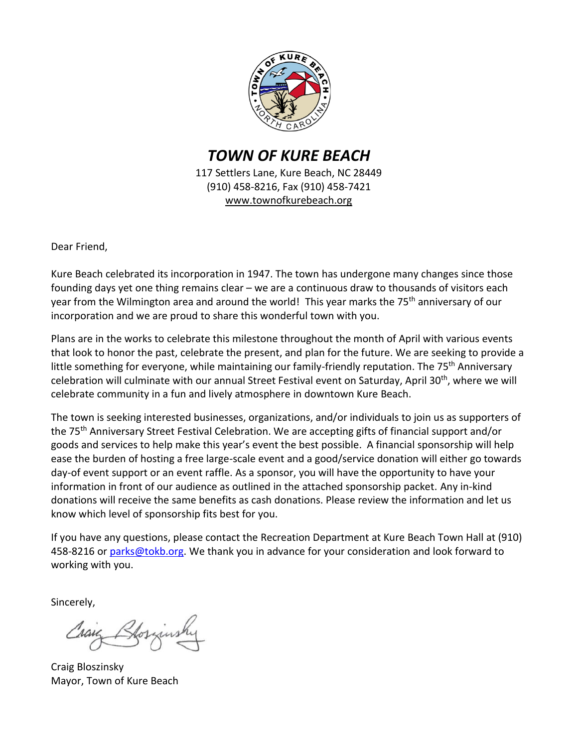

#### *TOWN OF KURE BEACH* 117 Settlers Lane, Kure Beach, NC 28449 (910) 458-8216, Fax (910) 458-7421 [www.townofkurebeach.org](http://www.townofkurebeach.org/)

Dear Friend,

Kure Beach celebrated its incorporation in 1947. The town has undergone many changes since those founding days yet one thing remains clear – we are a continuous draw to thousands of visitors each year from the Wilmington area and around the world! This year marks the 75<sup>th</sup> anniversary of our incorporation and we are proud to share this wonderful town with you.

Plans are in the works to celebrate this milestone throughout the month of April with various events that look to honor the past, celebrate the present, and plan for the future. We are seeking to provide a little something for everyone, while maintaining our family-friendly reputation. The 75<sup>th</sup> Anniversary celebration will culminate with our annual Street Festival event on Saturday, April 30th, where we will celebrate community in a fun and lively atmosphere in downtown Kure Beach.

The town is seeking interested businesses, organizations, and/or individuals to join us as supporters of the 75th Anniversary Street Festival Celebration. We are accepting gifts of financial support and/or goods and services to help make this year's event the best possible. A financial sponsorship will help ease the burden of hosting a free large-scale event and a good/service donation will either go towards day-of event support or an event raffle. As a sponsor, you will have the opportunity to have your information in front of our audience as outlined in the attached sponsorship packet. Any in-kind donations will receive the same benefits as cash donations. Please review the information and let us know which level of sponsorship fits best for you.

If you have any questions, please contact the Recreation Department at Kure Beach Town Hall at (910) 458-8216 or [parks@tokb.org.](mailto:parks@tokb.org) We thank you in advance for your consideration and look forward to working with you.

Sincerely,

Craig Hosinsh

Craig Bloszinsky Mayor, Town of Kure Beach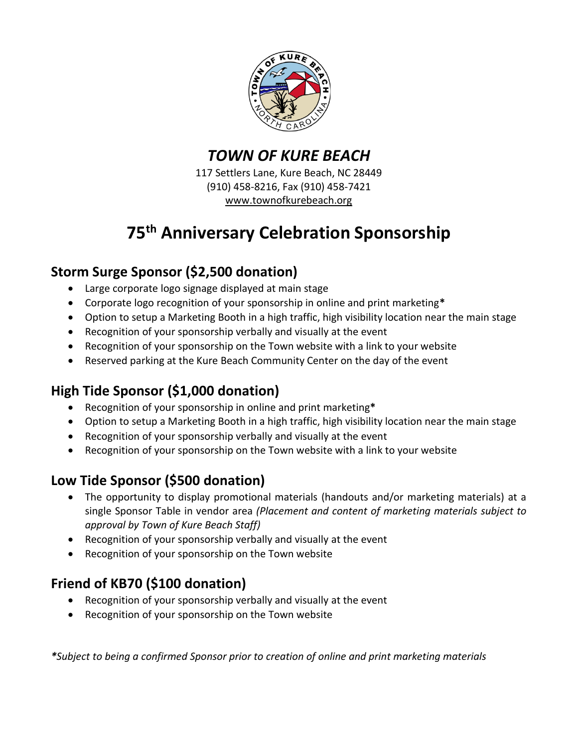

*TOWN OF KURE BEACH*

117 Settlers Lane, Kure Beach, NC 28449 (910) 458-8216, Fax (910) 458-7421 [www.townofkurebeach.org](http://www.townofkurebeach.org/)

# **75 th Anniversary Celebration Sponsorship**

### **Storm Surge Sponsor (\$2,500 donation)**

- Large corporate logo signage displayed at main stage
- Corporate logo recognition of your sponsorship in online and print marketing**\***
- Option to setup a Marketing Booth in a high traffic, high visibility location near the main stage
- Recognition of your sponsorship verbally and visually at the event
- Recognition of your sponsorship on the Town website with a link to your website
- Reserved parking at the Kure Beach Community Center on the day of the event

### **High Tide Sponsor (\$1,000 donation)**

- Recognition of your sponsorship in online and print marketing**\***
- Option to setup a Marketing Booth in a high traffic, high visibility location near the main stage
- Recognition of your sponsorship verbally and visually at the event
- Recognition of your sponsorship on the Town website with a link to your website

### **Low Tide Sponsor (\$500 donation)**

- The opportunity to display promotional materials (handouts and/or marketing materials) at a single Sponsor Table in vendor area *(Placement and content of marketing materials subject to approval by Town of Kure Beach Staff)*
- Recognition of your sponsorship verbally and visually at the event
- Recognition of your sponsorship on the Town website

#### **Friend of KB70 (\$100 donation)**

- Recognition of your sponsorship verbally and visually at the event
- Recognition of your sponsorship on the Town website

*\*Subject to being a confirmed Sponsor prior to creation of online and print marketing materials*